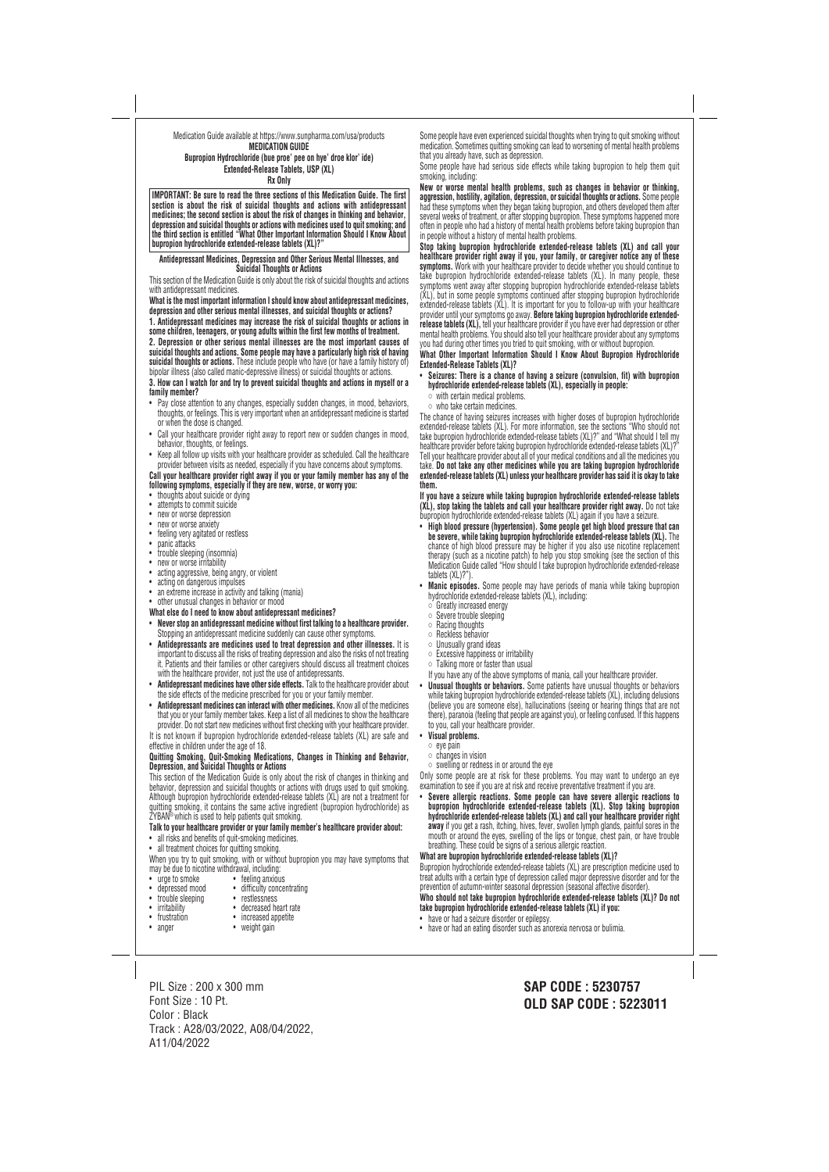### Medication Guide available at https://www.sunpharma.com/usa/products **MEDICATION GUIDE Bupropion Hydrochloride (bue proe' pee on hye' droe klor' ide) Extended-Release Tablets, USP (XL)**

**Rx Only**

**IMPORTANT: Be sure to read the three sections of this Medication Guide. The first section is about the risk of suicidal thoughts and actions with antidepressant medicines; the second section is about the risk of changes in thinking and behavior, depression and suicidal thoughts or actions with medicines used to quit smoking; and the third section is entitled "What Other Important Information Should I Know About bupropion hydrochloride extended-release tablets (XL)?"**

#### **Antidepressant Medicines, Depression and Other Serious Mental Illnesses, and Suicidal Thoughts or Actions**

This section of the Medication Guide is only about the risk of suicidal thoughts and actions with antidepressant medicines.

**What is the most important information I should know about antidepressant medicines, depression and other serious mental illnesses, and suicidal thoughts or actions?**

- Pay close attention to any changes, especially sudden changes, in mood, behaviors, thoughts, or feelings. This is very important when an antidepressant medicine is started or when the dose is changed.
- Call your healthcare provider right away to report new or sudden changes in mood. behavior, thoughts, or feelings.
- Keep all follow up visits with your healthcare provider as scheduled. Call the healthcare provider between visits as needed, especially if you have concerns about symptoms.

**1. Antidepressant medicines may increase the risk of suicidal thoughts or actions in some children, teenagers, or young adults within the first few months of treatment.**

**2. Depression or other serious mental illnesses are the most important causes of suicidal thoughts and actions. Some people may have a particularly high risk of having suicidal thoughts or actions.** These include people who have (or have a family history of) bipolar illness (also called manic-depressive illness) or suicidal thoughts or actions.

**3. How can I watch for and try to prevent suicidal thoughts and actions in myself or a family member?**

- thoughts about suicide or dying
- attempts to commit suicide
- new or worse depression
- new or worse anxiety
- feeling very agitated or restless
- panic attacks
- trouble sleeping (insomnia)
- new or worse irritability
- acting aggressive, being angry, or violent
- acting on dangerous impulses
- an extreme increase in activity and talking (mania)
- other unusual changes in behavior or mood
- **What else do I need to know about antidepressant medicines?**
- **Never stop an antidepressant medicine without first talking to a healthcare provider.** Stopping an antidepressant medicine suddenly can cause other symptoms.
- **Antidepressants are medicines used to treat depression and other illnesses.** It is important to discuss all the risks of treating depression and also the risks of not treating it. Patients and their families or other caregivers should discuss all treatment choices with the healthcare provider, not just the use of antidepressants.
- **Antidepressant medicines have other side effects.** Talk to the healthcare provider about the side effects of the medicine prescribed for you or your family member.
- **Antidepressant medicines can interact with other medicines.** Know all of the medicines that you or your family member takes. Keep a list of all medicines to show the healthcare provider. Do not start new medicines without first checking with your healthcare provider.

- all risks and benefits of quit-smoking medicines.
- all treatment choices for quitting smoking.

**Call your healthcare provider right away if you or your family member has any of the following symptoms, especially if they are new, worse, or worry you:**

When you try to quit smoking, with or without bupropion you may have symptoms that may be due to nicotine withdrawal, including:

• urge to smoke • feeling anxious

- **Seizures: There is a chance of having a seizure (convulsion, fit) with bupropion hydrochloride extended-release tablets (XL), especially in people:**
	-
- who take certain medicines.

It is not known if bupropion hydrochloride extended-release tablets (XL) are safe and effective in children under the age of 18.

### **Quitting Smoking, Quit-Smoking Medications, Changes in Thinking and Behavior, Depression, and Suicidal Thoughts or Actions**

- **High blood pressure (hypertension). Some people get high blood pressure that can be severe, while taking bupropion hydrochloride extended-release tablets (XL).** The chance of high blood pressure may be higher if you also use nicotine replacement therapy (such as a nicotine patch) to help you stop smoking (see the section of this Medication Guide called "How should I take bupropion hydrochloride extended-release tablets (XL)?").
- **Manic episodes.** Some people may have periods of mania while taking bupropion nydrochloride extended-release tablets (XL), including:<br>  $\circ$  Greatly increased energy<br>  $\circ$  Severe trouble sleeping<br>  $\circ$  Racing thoughts<br>  $\circ$  Reckless behavior<br>  $\circ$  Unusually grand ideas<br>  $\circ$  Excessive happiness or ir
- 
- 
- 
- 
- 
- 
- 
- If you have any of the above symptoms of mania, call your healthcare provider. • **Unusual thoughts or behaviors.** Some patients have unusual thoughts or behaviors while taking bupropion hydrochloride extended-release tablets (XL), including delusions (believe you are someone else), hallucinations (seeing or hearing things that are not there), paranoia (feeling that people are against you), or feeling confused. If this happens to you, call your healthcare provider.
- **Visual problems.**
	-
- 
- eye pain<br>◦ changes in vision<br>◦ swelling or redness in or around the eye

This section of the Medication Guide is only about the risk of changes in thinking and behavior, depression and suicidal thoughts or actions with drugs used to quit smoking. Although bupropion hydrochloride extended-release tablets (XL) are not a treatment for quitting smoking, it contains the same active ingredient (bupropion hydrochloride) as ZYBAN® which is used to help patients quit smoking.

## **Talk to your healthcare provider or your family member's healthcare provider about:**



Some people have even experienced suicidal thoughts when trying to quit smoking without medication. Sometimes quitting smoking can lead to worsening of mental health problems that you already have, such as depression.

Some people have had serious side effects while taking bupropion to help them quit smoking, including:

**New or worse mental health problems, such as changes in behavior or thinking, aggression, hostility, agitation, depression, or suicidal thoughts or actions.** Some people had these symptoms when they began taking bupropion, and others developed them after several weeks of treatment, or after stopping bupropion. These symptoms happened more often in people who had a history of mental health problems before taking bupropion than in people without a history of mental health problems.

**Stop taking bupropion hydrochloride extended-release tablets (XL) and call your healthcare provider right away if you, your family, or caregiver notice any of these symptoms.** Work with your healthcare provider to decide whether you should continue to take bupropion hydrochloride extended-release tablets (XL). In many people, these symptoms went away after stopping bupropion hydrochloride extended-release tablets (XL), but in some people symptoms continued after stopping bupropion hydrochloride extended-release tablets (XL). It is important for you to follow-up with your healthcare provider until your symptoms go away. **Before taking bupropion hydrochloride extended release tablets (XL),** tell your healthcare provider if you have ever had depression or other mental health problems. You should also tell your healthcare provider about any symptoms you had during other times you tried to quit smoking, with or without bupropion.

**What Other Important Information Should I Know About Bupropion Hydrochloride Extended-Release Tablets (XL)?**

The chance of having seizures increases with higher doses of bupropion hydrochloride extended-release tablets (XL). For more information, see the sections "Who should not take bupropion hydrochloride extended-release tablets (XL)?" and "What should I tell my healthcare provider before taking bupropion hydrochloride extended-release tablets (XL)? Tell your healthcare provider about all of your medical conditions and all the medicines you take. **Do not take any other medicines while you are taking bupropion hydrochloride extended-release tablets (XL) unless your healthcare provider has said it is okay to take them.**

**If you have a seizure while taking bupropion hydrochloride extended-release tablets (XL), stop taking the tablets and call your healthcare provider right away.** Do not take bupropion hydrochloride extended-release tablets (XL) again if you have a seizure.

Only some people are at risk for these problems. You may want to undergo an eye examination to see if you are at risk and receive preventative treatment if you are.

• **Severe allergic reactions. Some people can have severe allergic reactions to bupropion hydrochloride extended-release tablets (XL). Stop taking bupropion hydrochloride extended-release tablets (XL) and call your healthcare provider right away** if you get a rash, itching, hives, fever, swollen lymph glands, painful sores in the mouth or around the eyes, swelling of the lips or tongue, chest pain, or have trouble breathing. These could be signs of a serious allergic reaction.

# **What are bupropion hydrochloride extended-release tablets (XL)?**

Bupropion hydrochloride extended-release tablets (XL) are prescription medicine used to treat adults with a certain type of depression called major depressive disorder and for the prevention of autumn-winter seasonal depression (seasonal affective disorder). **Who should not take bupropion hydrochloride extended-release tablets (XL)? Do not take bupropion hydrochloride extended-release tablets (XL) if you:**

- have or had a seizure disorder or epilepsy.
- have or had an eating disorder such as anorexia nervosa or bulimia.

PIL Size : 200 x 300 mm Font Size : 10 Pt. Color : Black Track : A28/03/2022, A08/04/2022, A11/04/2022

**SAP CODE : 5230757 OLD SAP CODE : 5223011**